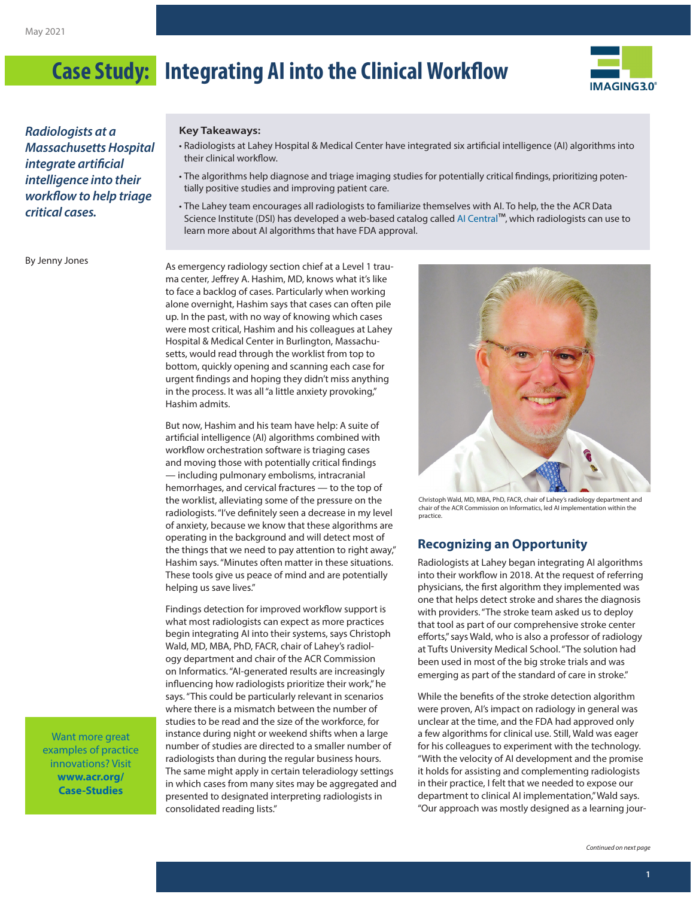

*Radiologists at a Massachusetts Hospital integrate artificial intelligence into their workflow to help triage critical cases.*

#### **Key Takeaways:**

- Radiologists at Lahey Hospital & Medical Center have integrated six artificial intelligence (AI) algorithms into their clinical workflow.
- The algorithms help diagnose and triage imaging studies for potentially critical findings, prioritizing potentially positive studies and improving patient care.
- The Lahey team encourages all radiologists to familiarize themselves with AI. To help, the the ACR Data Science Institute (DSI) has developed a web-based catalog called [AI Central](https://models.acrdsi.org/)™, which radiologists can use to learn more about AI algorithms that have FDA approval.

By Jenny Jones

As emergency radiology section chief at a Level 1 trauma center, Jeffrey A. Hashim, MD, knows what it's like to face a backlog of cases. Particularly when working alone overnight, Hashim says that cases can often pile up. In the past, with no way of knowing which cases were most critical, Hashim and his colleagues at Lahey Hospital & Medical Center in Burlington, Massachusetts, would read through the worklist from top to bottom, quickly opening and scanning each case for urgent findings and hoping they didn't miss anything in the process. It was all "a little anxiety provoking," Hashim admits.

But now, Hashim and his team have help: A suite of artificial intelligence (AI) algorithms combined with workflow orchestration software is triaging cases and moving those with potentially critical findings — including pulmonary embolisms, intracranial hemorrhages, and cervical fractures — to the top of the worklist, alleviating some of the pressure on the radiologists. "I've definitely seen a decrease in my level of anxiety, because we know that these algorithms are operating in the background and will detect most of the things that we need to pay attention to right away," Hashim says. "Minutes often matter in these situations. These tools give us peace of mind and are potentially helping us save lives."

Findings detection for improved workflow support is what most radiologists can expect as more practices begin integrating AI into their systems, says Christoph Wald, MD, MBA, PhD, FACR, chair of Lahey's radiology department and chair of the ACR Commission on Informatics. "AI-generated results are increasingly influencing how radiologists prioritize their work," he says. "This could be particularly relevant in scenarios where there is a mismatch between the number of studies to be read and the size of the workforce, for instance during night or weekend shifts when a large number of studies are directed to a smaller number of radiologists than during the regular business hours. The same might apply in certain teleradiology settings in which cases from many sites may be aggregated and presented to designated interpreting radiologists in consolidated reading lists."



Christoph Wald, MD, MBA, PhD, FACR, chair of Lahey's radiology department and chair of the ACR Commission on Informatics, led AI implementation within the practice.

#### **Recognizing an Opportunity**

Radiologists at Lahey began integrating AI algorithms into their workflow in 2018. At the request of referring physicians, the first algorithm they implemented was one that helps detect stroke and shares the diagnosis with providers. "The stroke team asked us to deploy that tool as part of our comprehensive stroke center efforts," says Wald, who is also a professor of radiology at Tufts University Medical School. "The solution had been used in most of the big stroke trials and was emerging as part of the standard of care in stroke."

While the benefits of the stroke detection algorithm were proven, AI's impact on radiology in general was unclear at the time, and the FDA had approved only a few algorithms for clinical use. Still, Wald was eager for his colleagues to experiment with the technology. "With the velocity of AI development and the promise it holds for assisting and complementing radiologists in their practice, I felt that we needed to expose our department to clinical AI implementation," Wald says. "Our approach was mostly designed as a learning jour-

Want more great examples of practice innovations? Visit **[www.acr.org/](http://www.acr.org/Case-Studies) [Case-Studies](http://www.acr.org/Case-Studies)**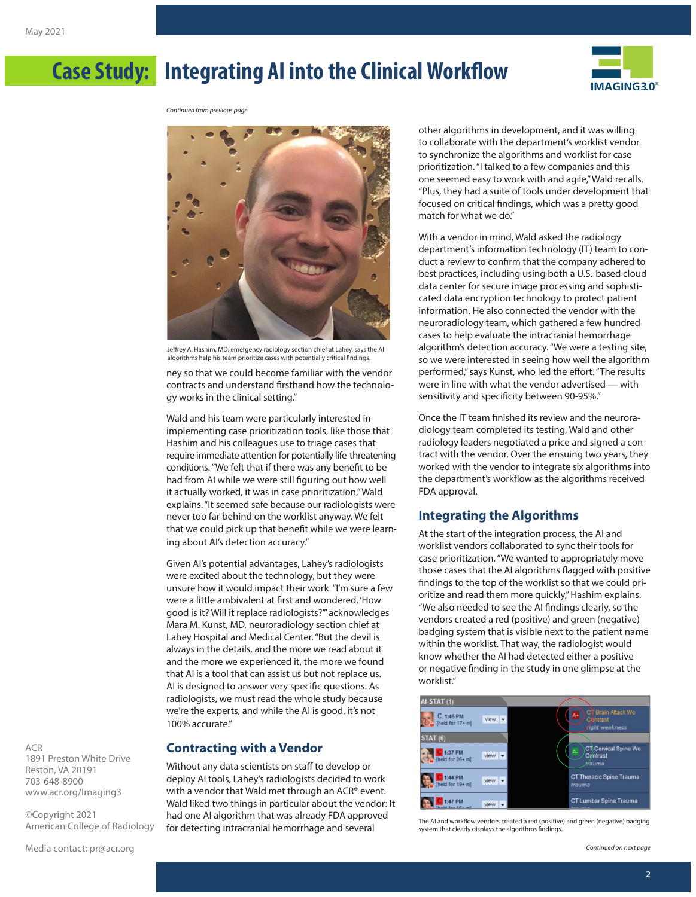

*Continued from previous page*



Jeffrey A. Hashim, MD, emergency radiology section chief at Lahey, says the AI algorithms help his team prioritize cases with potentially critical findings.

ney so that we could become familiar with the vendor contracts and understand firsthand how the technology works in the clinical setting."

Wald and his team were particularly interested in implementing case prioritization tools, like those that Hashim and his colleagues use to triage cases that require immediate attention for potentially life-threatening conditions. "We felt that if there was any benefit to be had from AI while we were still figuring out how well it actually worked, it was in case prioritization," Wald explains. "It seemed safe because our radiologists were never too far behind on the worklist anyway. We felt that we could pick up that benefit while we were learning about AI's detection accuracy."

Given AI's potential advantages, Lahey's radiologists were excited about the technology, but they were unsure how it would impact their work. "I'm sure a few were a little ambivalent at first and wondered, 'How good is it? Will it replace radiologists?'" acknowledges Mara M. Kunst, MD, neuroradiology section chief at Lahey Hospital and Medical Center. "But the devil is always in the details, and the more we read about it and the more we experienced it, the more we found that AI is a tool that can assist us but not replace us. AI is designed to answer very specific questions. As radiologists, we must read the whole study because we're the experts, and while the AI is good, it's not 100% accurate."

### **Contracting with a Vendor**

Without any data scientists on staff to develop or deploy AI tools, Lahey's radiologists decided to work with a vendor that Wald met through an ACR® event. Wald liked two things in particular about the vendor: It had one AI algorithm that was already FDA approved for detecting intracranial hemorrhage and several

other algorithms in development, and it was willing to collaborate with the department's worklist vendor to synchronize the algorithms and worklist for case prioritization. "I talked to a few companies and this one seemed easy to work with and agile," Wald recalls. "Plus, they had a suite of tools under development that focused on critical findings, which was a pretty good match for what we do."

With a vendor in mind, Wald asked the radiology department's information technology (IT) team to conduct a review to confirm that the company adhered to best practices, including using both a U.S.-based cloud data center for secure image processing and sophisticated data encryption technology to protect patient information. He also connected the vendor with the neuroradiology team, which gathered a few hundred cases to help evaluate the intracranial hemorrhage algorithm's detection accuracy. "We were a testing site, so we were interested in seeing how well the algorithm performed," says Kunst, who led the effort. "The results were in line with what the vendor advertised — with sensitivity and specificity between 90-95%."

Once the IT team finished its review and the neuroradiology team completed its testing, Wald and other radiology leaders negotiated a price and signed a contract with the vendor. Over the ensuing two years, they worked with the vendor to integrate six algorithms into the department's workflow as the algorithms received FDA approval.

#### **Integrating the Algorithms**

At the start of the integration process, the AI and worklist vendors collaborated to sync their tools for case prioritization. "We wanted to appropriately move those cases that the AI algorithms flagged with positive findings to the top of the worklist so that we could prioritize and read them more quickly," Hashim explains. "We also needed to see the AI findings clearly, so the vendors created a red (positive) and green (negative) badging system that is visible next to the patient name within the worklist. That way, the radiologist would know whether the AI had detected either a positive or negative finding in the study in one glimpse at the worklist."



The AI and workflow vendors created a red (positive) and green (negative) badging system that clearly displays the algorithms findings.

*Continued on next page*

1891 Preston White Drive Reston, VA 20191 703-648-8900 [www.acr.org/Imaging3](http://www.acr.org/Imaging3)

ACR

©Copyright 2021 American College of Radiology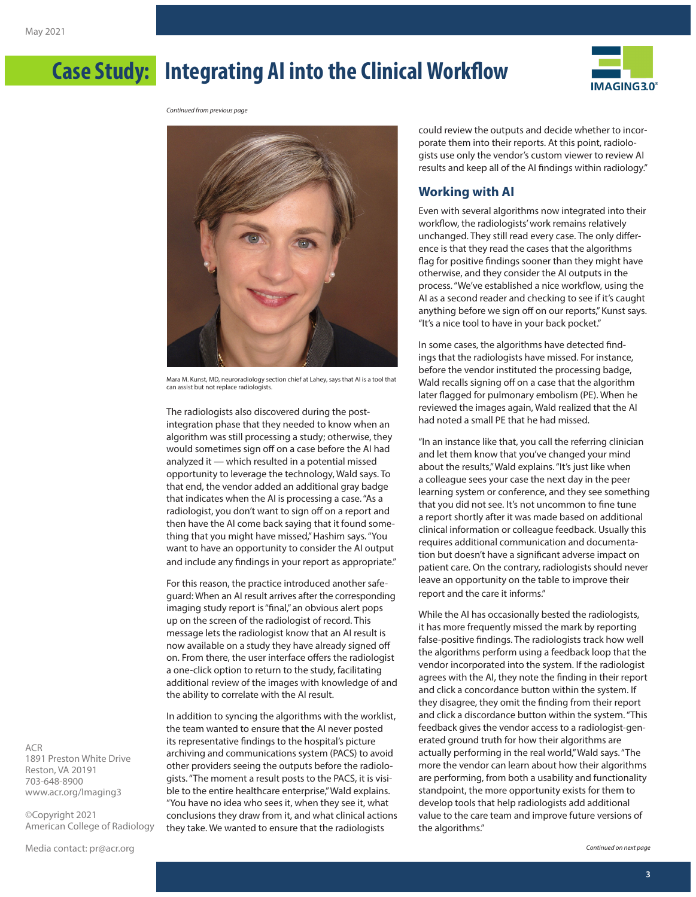

*Continued from previous page*



Mara M. Kunst, MD, neuroradiology section chief at Lahey, says that AI is a tool that can assist but not replace radiologists.

The radiologists also discovered during the postintegration phase that they needed to know when an algorithm was still processing a study; otherwise, they would sometimes sign off on a case before the AI had analyzed it — which resulted in a potential missed opportunity to leverage the technology, Wald says. To that end, the vendor added an additional gray badge that indicates when the AI is processing a case. "As a radiologist, you don't want to sign off on a report and then have the AI come back saying that it found something that you might have missed," Hashim says. "You want to have an opportunity to consider the AI output and include any findings in your report as appropriate."

For this reason, the practice introduced another safeguard: When an AI result arrives after the corresponding imaging study report is "final," an obvious alert pops up on the screen of the radiologist of record. This message lets the radiologist know that an AI result is now available on a study they have already signed off on. From there, the user interface offers the radiologist a one-click option to return to the study, facilitating additional review of the images with knowledge of and the ability to correlate with the AI result.

In addition to syncing the algorithms with the worklist, the team wanted to ensure that the AI never posted its representative findings to the hospital's picture archiving and communications system (PACS) to avoid other providers seeing the outputs before the radiologists. "The moment a result posts to the PACS, it is visible to the entire healthcare enterprise," Wald explains. "You have no idea who sees it, when they see it, what conclusions they draw from it, and what clinical actions they take. We wanted to ensure that the radiologists

could review the outputs and decide whether to incorporate them into their reports. At this point, radiologists use only the vendor's custom viewer to review AI results and keep all of the AI findings within radiology."

### **Working with AI**

Even with several algorithms now integrated into their workflow, the radiologists' work remains relatively unchanged. They still read every case. The only difference is that they read the cases that the algorithms flag for positive findings sooner than they might have otherwise, and they consider the AI outputs in the process. "We've established a nice workflow, using the AI as a second reader and checking to see if it's caught anything before we sign off on our reports," Kunst says. "It's a nice tool to have in your back pocket."

In some cases, the algorithms have detected findings that the radiologists have missed. For instance, before the vendor instituted the processing badge, Wald recalls signing off on a case that the algorithm later flagged for pulmonary embolism (PE). When he reviewed the images again, Wald realized that the AI had noted a small PE that he had missed.

"In an instance like that, you call the referring clinician and let them know that you've changed your mind about the results," Wald explains. "It's just like when a colleague sees your case the next day in the peer learning system or conference, and they see something that you did not see. It's not uncommon to fine tune a report shortly after it was made based on additional clinical information or colleague feedback. Usually this requires additional communication and documentation but doesn't have a significant adverse impact on patient care. On the contrary, radiologists should never leave an opportunity on the table to improve their report and the care it informs."

While the AI has occasionally bested the radiologists, it has more frequently missed the mark by reporting false-positive findings. The radiologists track how well the algorithms perform using a feedback loop that the vendor incorporated into the system. If the radiologist agrees with the AI, they note the finding in their report and click a concordance button within the system. If they disagree, they omit the finding from their report and click a discordance button within the system. "This feedback gives the vendor access to a radiologist-generated ground truth for how their algorithms are actually performing in the real world," Wald says. "The more the vendor can learn about how their algorithms are performing, from both a usability and functionality standpoint, the more opportunity exists for them to develop tools that help radiologists add additional value to the care team and improve future versions of the algorithms."

ACR 1891 Preston White Drive Reston, VA 20191 703-648-8900 [www.acr.org/Imaging3](http://www.acr.org/Imaging3)

©Copyright 2021 American College of Radiology

Media contact: [pr@acr.org](mailto:pr%40acr.org?subject=Imaging%203.0)